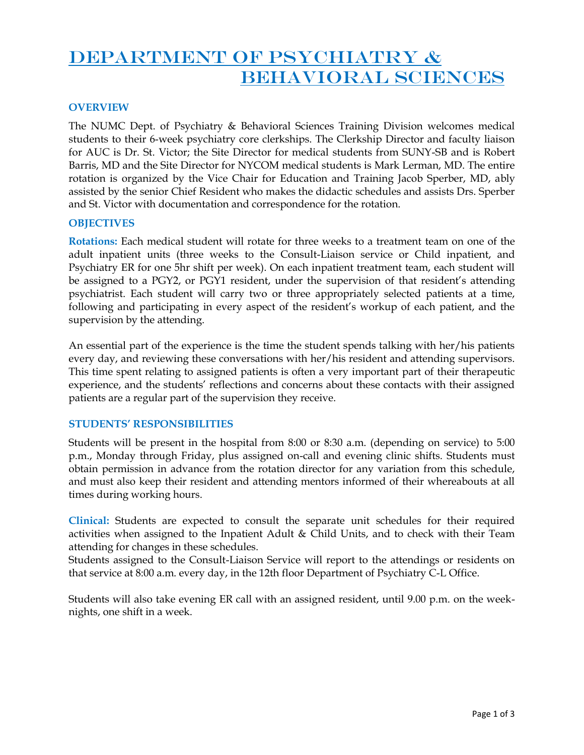# DEPARTMENT OF PSYCHIATRY & BEHAVIORAL SCIENCES

# **OVERVIEW**

The NUMC Dept. of Psychiatry & Behavioral Sciences Training Division welcomes medical students to their 6-week psychiatry core clerkships. The Clerkship Director and faculty liaison for AUC is Dr. St. Victor; the Site Director for medical students from SUNY-SB and is Robert Barris, MD and the Site Director for NYCOM medical students is Mark Lerman, MD. The entire rotation is organized by the Vice Chair for Education and Training Jacob Sperber, MD, ably assisted by the senior Chief Resident who makes the didactic schedules and assists Drs. Sperber and St. Victor with documentation and correspondence for the rotation.

# **OBJECTIVES**

**Rotations:** Each medical student will rotate for three weeks to a treatment team on one of the adult inpatient units (three weeks to the Consult-Liaison service or Child inpatient, and Psychiatry ER for one 5hr shift per week). On each inpatient treatment team, each student will be assigned to a PGY2, or PGY1 resident, under the supervision of that resident's attending psychiatrist. Each student will carry two or three appropriately selected patients at a time, following and participating in every aspect of the resident's workup of each patient, and the supervision by the attending.

An essential part of the experience is the time the student spends talking with her/his patients every day, and reviewing these conversations with her/his resident and attending supervisors. This time spent relating to assigned patients is often a very important part of their therapeutic experience, and the students' reflections and concerns about these contacts with their assigned patients are a regular part of the supervision they receive.

### **STUDENTS' RESPONSIBILITIES**

Students will be present in the hospital from 8:00 or 8:30 a.m. (depending on service) to 5:00 p.m., Monday through Friday, plus assigned on-call and evening clinic shifts. Students must obtain permission in advance from the rotation director for any variation from this schedule, and must also keep their resident and attending mentors informed of their whereabouts at all times during working hours.

**Clinical:** Students are expected to consult the separate unit schedules for their required activities when assigned to the Inpatient Adult  $&$  Child Units, and to check with their Team attending for changes in these schedules.

Students assigned to the Consult-Liaison Service will report to the attendings or residents on that service at 8:00 a.m. every day, in the 12th floor Department of Psychiatry C-L Office.

Students will also take evening ER call with an assigned resident, until 9.00 p.m. on the weeknights, one shift in a week.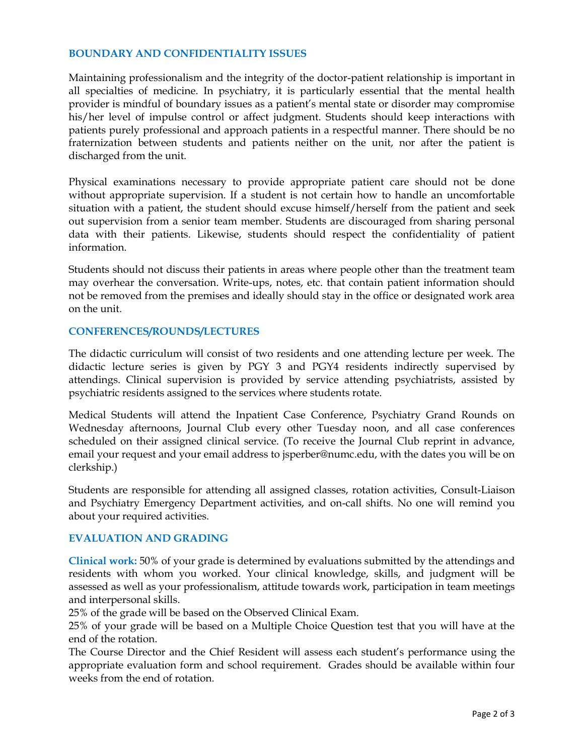## **BOUNDARY AND CONFIDENTIALITY ISSUES**

Maintaining professionalism and the integrity of the doctor-patient relationship is important in all specialties of medicine. In psychiatry, it is particularly essential that the mental health provider is mindful of boundary issues as a patient's mental state or disorder may compromise his/her level of impulse control or affect judgment. Students should keep interactions with patients purely professional and approach patients in a respectful manner. There should be no fraternization between students and patients neither on the unit, nor after the patient is discharged from the unit.

Physical examinations necessary to provide appropriate patient care should not be done without appropriate supervision. If a student is not certain how to handle an uncomfortable situation with a patient, the student should excuse himself/herself from the patient and seek out supervision from a senior team member. Students are discouraged from sharing personal data with their patients. Likewise, students should respect the confidentiality of patient information.

Students should not discuss their patients in areas where people other than the treatment team may overhear the conversation. Write-ups, notes, etc. that contain patient information should not be removed from the premises and ideally should stay in the office or designated work area on the unit.

# **CONFERENCES/ROUNDS/LECTURES**

The didactic curriculum will consist of two residents and one attending lecture per week. The didactic lecture series is given by PGY 3 and PGY4 residents indirectly supervised by attendings. Clinical supervision is provided by service attending psychiatrists, assisted by psychiatric residents assigned to the services where students rotate.

Medical Students will attend the Inpatient Case Conference, Psychiatry Grand Rounds on Wednesday afternoons, Journal Club every other Tuesday noon, and all case conferences scheduled on their assigned clinical service. (To receive the Journal Club reprint in advance, email your request and your email address to jsperber@numc.edu, with the dates you will be on clerkship.)

Students are responsible for attending all assigned classes, rotation activities, Consult-Liaison and Psychiatry Emergency Department activities, and on-call shifts. No one will remind you about your required activities.

### **EVALUATION AND GRADING**

**Clinical work:** 50% of your grade is determined by evaluations submitted by the attendings and residents with whom you worked. Your clinical knowledge, skills, and judgment will be assessed as well as your professionalism, attitude towards work, participation in team meetings and interpersonal skills.

25% of the grade will be based on the Observed Clinical Exam.

25% of your grade will be based on a Multiple Choice Question test that you will have at the end of the rotation.

The Course Director and the Chief Resident will assess each student's performance using the appropriate evaluation form and school requirement. Grades should be available within four weeks from the end of rotation.